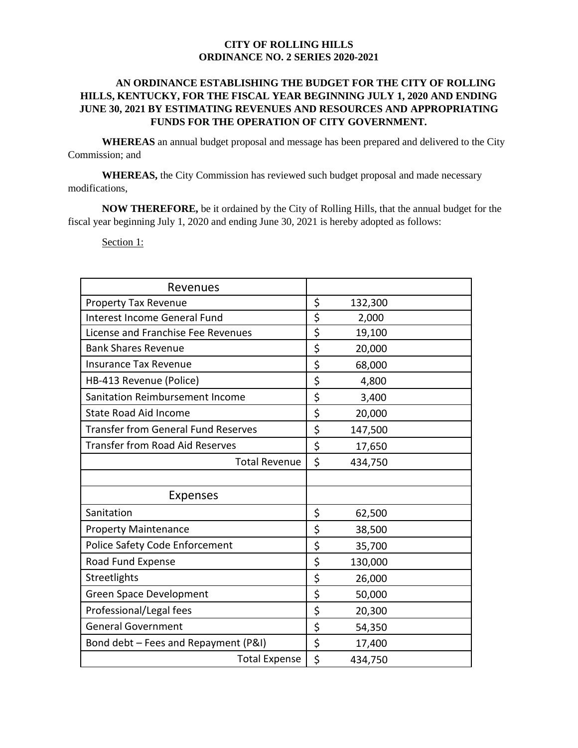## **CITY OF ROLLING HILLS ORDINANCE NO. 2 SERIES 2020-2021**

## **AN ORDINANCE ESTABLISHING THE BUDGET FOR THE CITY OF ROLLING HILLS, KENTUCKY, FOR THE FISCAL YEAR BEGINNING JULY 1, 2020 AND ENDING JUNE 30, 2021 BY ESTIMATING REVENUES AND RESOURCES AND APPROPRIATING FUNDS FOR THE OPERATION OF CITY GOVERNMENT.**

**WHEREAS** an annual budget proposal and message has been prepared and delivered to the City Commission; and

**WHEREAS,** the City Commission has reviewed such budget proposal and made necessary modifications,

**NOW THEREFORE,** be it ordained by the City of Rolling Hills, that the annual budget for the fiscal year beginning July 1, 2020 and ending June 30, 2021 is hereby adopted as follows:

Section 1:

| Revenues                                   |               |  |
|--------------------------------------------|---------------|--|
| <b>Property Tax Revenue</b>                | \$<br>132,300 |  |
| <b>Interest Income General Fund</b>        | \$<br>2,000   |  |
| License and Franchise Fee Revenues         | \$<br>19,100  |  |
| <b>Bank Shares Revenue</b>                 | \$<br>20,000  |  |
| <b>Insurance Tax Revenue</b>               | \$<br>68,000  |  |
| HB-413 Revenue (Police)                    | \$<br>4,800   |  |
| Sanitation Reimbursement Income            | \$<br>3,400   |  |
| <b>State Road Aid Income</b>               | \$<br>20,000  |  |
| <b>Transfer from General Fund Reserves</b> | \$<br>147,500 |  |
| <b>Transfer from Road Aid Reserves</b>     | \$<br>17,650  |  |
| <b>Total Revenue</b>                       | \$<br>434,750 |  |
|                                            |               |  |
| <b>Expenses</b>                            |               |  |
| Sanitation                                 | \$<br>62,500  |  |
| <b>Property Maintenance</b>                | \$<br>38,500  |  |
| Police Safety Code Enforcement             | \$<br>35,700  |  |
| Road Fund Expense                          | \$<br>130,000 |  |
| Streetlights                               | \$<br>26,000  |  |
| <b>Green Space Development</b>             | \$<br>50,000  |  |
| Professional/Legal fees                    | \$<br>20,300  |  |
| <b>General Government</b>                  | \$<br>54,350  |  |
| Bond debt - Fees and Repayment (P&I)       | \$<br>17,400  |  |
| <b>Total Expense</b>                       | \$<br>434,750 |  |